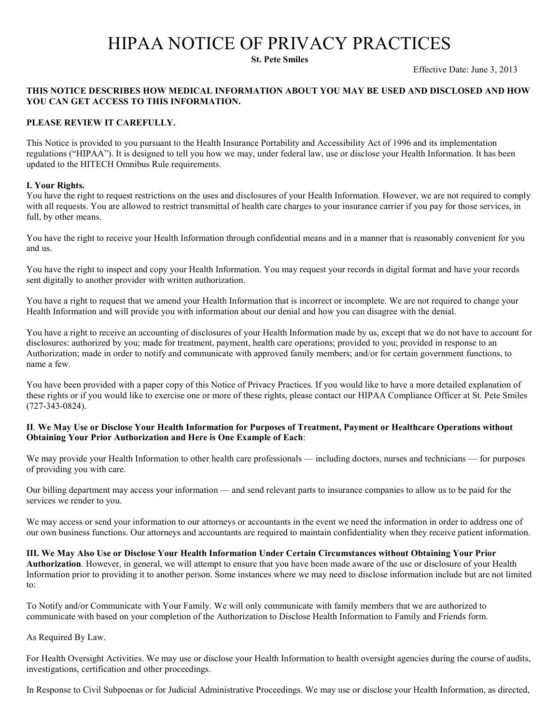# HIPAA NOTICE OF PRIVACY PRACTICES

**St. Pete Smiles** 

Effective Date: June 3, 2013

# **THIS NOTICE DESCRIBES HOW MEDICAL INFORMATION ABOUT YOU MAY BE USED AND DISCLOSED AND HOW YOU CAN GET ACCESS TO THIS INFORMATION.**

## **PLEASE REVIEW IT CAREFULLY.**

This Notice is provided to you pursuant to the Health Insurance Portability and Accessibility Act of 1996 and its implementation regulations ("HIPAA"). It is designed to tell you how we may, under federal law, use or disclose your Health Information. It has been updated to the HITECH Omnibus Rule requirements.

#### **I. Your Rights.**

You have the right to request restrictions on the uses and disclosures of your Health Information. However, we are not required to comply with all requests. You are allowed to restrict transmittal of health care charges to your insurance carrier if you pay for those services, in full, by other means.

You have the right to receive your Health Information through confidential means and in a manner that is reasonably convenient for you and us.

You have the right to inspect and copy your Health Information. You may request your records in digital format and have your records sent digitally to another provider with written authorization.

You have a right to request that we amend your Health Information that is incorrect or incomplete. We are not required to change your Health Information and will provide you with information about our denial and how you can disagree with the denial.

You have a right to receive an accounting of disclosures of your Health Information made by us, except that we do not have to account for disclosures: authorized by you; made for treatment, payment, health care operations; provided to you; provided in response to an Authorization; made in order to notify and communicate with approved family members; and/or for certain government functions, to name a few.

You have been provided with a paper copy of this Notice of Privacy Practices. If you would like to have a more detailed explanation of these rights or if you would like to exercise one or more of these rights, please contact our HIPAA Compliance Officer at St. Pete Smiles (727-343-0824).

## **II**. **We May Use or Disclose Your Health Information for Purposes of Treatment, Payment or Healthcare Operations without Obtaining Your Prior Authorization and Here is One Example of Each**:

We may provide your Health Information to other health care professionals — including doctors, nurses and technicians — for purposes of providing you with care.

Our billing department may access your information — and send relevant parts to insurance companies to allow us to be paid for the services we render to you.

We may access or send your information to our attorneys or accountants in the event we need the information in order to address one of our own business functions. Our attorneys and accountants are required to maintain confidentiality when they receive patient information.

**III. We May Also Use or Disclose Your Health Information Under Certain Circumstances without Obtaining Your Prior Authorization**. However, in general, we will attempt to ensure that you have been made aware of the use or disclosure of your Health Information prior to providing it to another person. Some instances where we may need to disclose information include but are not limited to:

To Notify and/or Communicate with Your Family. We will only communicate with family members that we are authorized to communicate with based on your completion of the Authorization to Disclose Health Information to Family and Friends form.

As Required By Law.

For Health Oversight Activities. We may use or disclose your Health Information to health oversight agencies during the course of audits, investigations, certification and other proceedings.

In Response to Civil Subpoenas or for Judicial Administrative Proceedings. We may use or disclose your Health Information, as directed,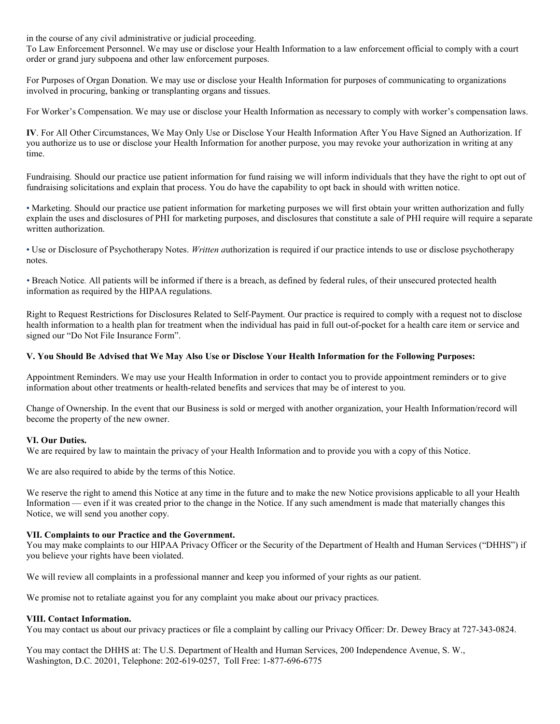in the course of any civil administrative or judicial proceeding.

To Law Enforcement Personnel. We may use or disclose your Health Information to a law enforcement official to comply with a court order or grand jury subpoena and other law enforcement purposes.

For Purposes of Organ Donation. We may use or disclose your Health Information for purposes of communicating to organizations involved in procuring, banking or transplanting organs and tissues.

For Worker's Compensation. We may use or disclose your Health Information as necessary to comply with worker's compensation laws.

**IV**. For All Other Circumstances, We May Only Use or Disclose Your Health Information After You Have Signed an Authorization. If you authorize us to use or disclose your Health Information for another purpose, you may revoke your authorization in writing at any time.

Fundraising*.* Should our practice use patient information for fund raising we will inform individuals that they have the right to opt out of fundraising solicitations and explain that process. You do have the capability to opt back in should with written notice.

• Marketing. Should our practice use patient information for marketing purposes we will first obtain your written authorization and fully explain the uses and disclosures of PHI for marketing purposes, and disclosures that constitute a sale of PHI require will require a separate written authorization.

• Use or Disclosure of Psychotherapy Notes. *Written a*uthorization is required if our practice intends to use or disclose psychotherapy notes.

*•* Breach Notice*.* All patients will be informed if there is a breach, as defined by federal rules, of their unsecured protected health information as required by the HIPAA regulations.

Right to Request Restrictions for Disclosures Related to Self-Payment. Our practice is required to comply with a request not to disclose health information to a health plan for treatment when the individual has paid in full out-of-pocket for a health care item or service and signed our "Do Not File Insurance Form".

#### **V. You Should Be Advised that We May Also Use or Disclose Your Health Information for the Following Purposes:**

Appointment Reminders. We may use your Health Information in order to contact you to provide appointment reminders or to give information about other treatments or health-related benefits and services that may be of interest to you.

Change of Ownership. In the event that our Business is sold or merged with another organization, your Health Information/record will become the property of the new owner.

#### **VI. Our Duties.**

We are required by law to maintain the privacy of your Health Information and to provide you with a copy of this Notice.

We are also required to abide by the terms of this Notice.

We reserve the right to amend this Notice at any time in the future and to make the new Notice provisions applicable to all your Health Information — even if it was created prior to the change in the Notice. If any such amendment is made that materially changes this Notice, we will send you another copy.

#### **VII. Complaints to our Practice and the Government.**

You may make complaints to our HIPAA Privacy Officer or the Security of the Department of Health and Human Services ("DHHS") if you believe your rights have been violated.

We will review all complaints in a professional manner and keep you informed of your rights as our patient.

We promise not to retaliate against you for any complaint you make about our privacy practices.

#### **VIII. Contact Information.**

You may contact us about our privacy practices or file a complaint by calling our Privacy Officer: Dr. Dewey Bracy at 727-343-0824.

You may contact the DHHS at: The U.S. Department of Health and Human Services, 200 Independence Avenue, S. W., Washington, D.C. 20201, Telephone: 202-619-0257, Toll Free: 1-877-696-6775